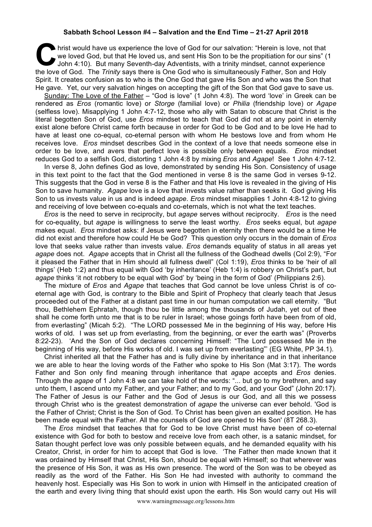## **Sabbath School Lesson #4 – Salvation and the End Time – 21-27 April 2018**

hrist would have us experience the love of God for our salvation: "Herein is love, not that we loved God, but that He loved us, and sent His Son to be the propitiation for our sins" (<br>John 4:10). But many Seventh-day Adven we loved God, but that He loved us, and sent His Son to be the propitiation for our sins" (1 John 4:10). But many Seventh-day Adventists, with a trinity mindset, cannot experience the love of God. The *Trinity* says there is One God who is simultaneously Father, Son and Holy Spirit. It creates confusion as to who is the One God that gave His Son and who was the Son that He gave. Yet, our very salvation hinges on accepting the gift of the Son that God gave to save us.

Sunday: The Love of the Father – "God is love" (1 John 4:8). The word 'love' in Greek can be rendered as *Eros* (romantic love) or *Storge* (familial love) or *Philia* (friendship love) or *Agape* (selfless love). Misapplying 1 John 4:7-12, those who ally with Satan to obscure that Christ is the literal begotten Son of God, use *Eros* mindset to teach that God did not at any point in eternity exist alone before Christ came forth because in order for God to be God and to be love He had to have at least one co-equal, co-eternal person with whom He bestows love and from whom He receives love. *Eros* mindset describes God in the context of a love that needs someone else in order to be love, and avers that perfect love is possible only between equals. *Eros* mindset reduces God to a selfish God, distorting 1 John 4:8 by mixing *Eros* and *Agape*! See 1 John 4:7-12.

In verse 8, John defines God as love, demonstrated by sending His Son. Consistency of usage in this text point to the fact that the God mentioned in verse 8 is the same God in verses 9-12. This suggests that the God in verse 8 is the Father and that His love is revealed in the giving of His Son to save humanity. *Agape* love is a love that invests value rather than seeks it. God giving His Son to us invests value in us and is indeed *agape*. *Eros* mindset misapplies 1 John 4:8-12 to giving and receiving of love between co-equals and co-eternals, which is not what the text teaches.

*Eros* is the need to serve in reciprocity, but *agape* serves without reciprocity. *Eros* is the need for co-equality, but *agape* is willingness to serve the least worthy. *Eros* seeks equal, but *agape* makes equal. *Eros* mindset asks: if Jesus were begotten in eternity then there would be a time He did not exist and therefore how could He be God? This question only occurs in the domain of *Eros* love that seeks value rather than invests value. *Eros* demands equality of status in all areas yet *agape* does not. *Agape* accepts that in Christ all the fullness of the Godhead dwells (Col 2:9), "For it pleased the Father that in Him should all fullness dwell" (Col 1:19), *Eros* thinks to be 'heir of all things' (Heb 1:2) and thus equal with God 'by inheritance' (Heb 1:4) is robbery on Christ's part, but *agape* thinks 'it not robbery to be equal with God' by 'being in the form of God' (Philippians 2:6).

The mixture of *Eros* and *Agape* that teaches that God cannot be love unless Christ is of coeternal age with God, is contrary to the Bible and Spirit of Prophecy that clearly teach that Jesus proceeded out of the Father at a distant past time in our human computation we call eternity. "But thou, Bethlehem Ephratah, though thou be little among the thousands of Judah, yet out of thee shall he come forth unto me that is to be ruler in Israel; whose goings forth have been from of old, from everlasting" (Micah 5:2). "The LORD possessed Me in the beginning of His way, before His works of old. I was set up from everlasting, from the beginning, or ever the earth was" (Proverbs 8:22-23). 'And the Son of God declares concerning Himself: "The Lord possessed Me in the beginning of His way, before His works of old. I was set up from everlasting"' (EG White, PP 34.1).

Christ inherited all that the Father has and is fully divine by inheritance and in that inheritance we are able to hear the loving words of the Father who spoke to His Son (Mat 3:17). The words Father and Son only find meaning through inheritance that *agape* accepts and *Eros* denies. Through the *agape* of 1 John 4:8 we can take hold of the words: "... but go to my brethren, and say unto them, I ascend unto my Father, and your Father; and to my God, and your God" (John 20:17). The Father of Jesus is our Father and the God of Jesus is our God, and all this we possess through Christ who is the greatest demonstration of *agape* the universe can ever behold. 'God is the Father of Christ; Christ is the Son of God. To Christ has been given an exalted position. He has been made equal with the Father. All the counsels of God are opened to His Son' (8T 268.3).

The *Eros* mindset that teaches that for God to be love Christ must have been of co-eternal existence with God for both to bestow and receive love from each other, is a satanic mindset, for Satan thought perfect love was only possible between equals, and he demanded equality with his Creator, Christ, in order for him to accept that God is love. 'The Father then made known that it was ordained by Himself that Christ, His Son, should be equal with Himself; so that wherever was the presence of His Son, it was as His own presence. The word of the Son was to be obeyed as readily as the word of the Father. His Son He had invested with authority to command the heavenly host. Especially was His Son to work in union with Himself in the anticipated creation of the earth and every living thing that should exist upon the earth. His Son would carry out His will